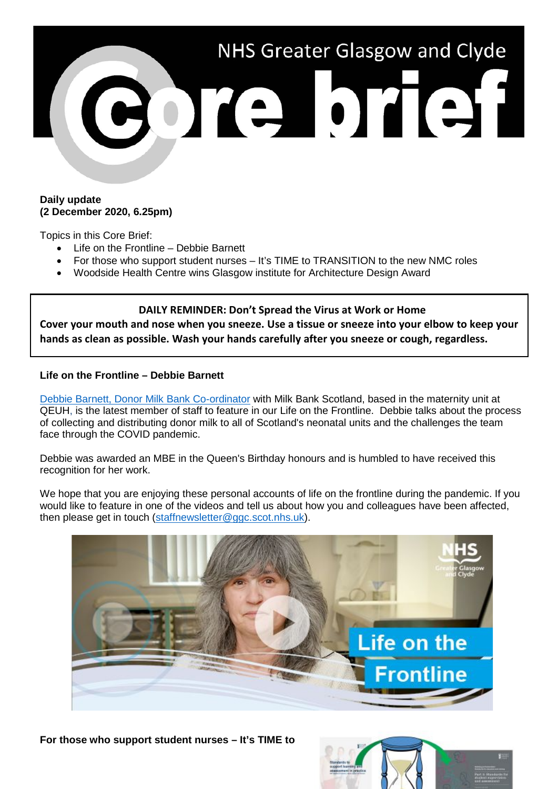

## **Daily update (2 December 2020, 6.25pm)**

Topics in this Core Brief:

- Life on the Frontline Debbie Barnett
- For those who support student nurses It's TIME to TRANSITION to the new NMC roles
- Woodside Health Centre wins Glasgow institute for Architecture Design Award

### **DAILY REMINDER: Don't Spread the Virus at Work or Home**

**Cover your mouth and nose when you sneeze. Use a tissue or sneeze into your elbow to keep your hands as clean as possible. Wash your hands carefully after you sneeze or cough, regardless.**

## **Life on the Frontline – Debbie Barnett**

[Debbie Barnett, Donor Milk Bank Co-ordinator](https://www.youtube.com/watch?v=PlLNpNYebgM) with Milk Bank Scotland, based in the maternity unit at QEUH, is the latest member of staff to feature in our Life on the Frontline. Debbie talks about the process of collecting and distributing donor milk to all of Scotland's neonatal units and the challenges the team face through the COVID pandemic.

Debbie was awarded an MBE in the Queen's Birthday honours and is humbled to have received this recognition for her work.

We hope that you are enjoying these personal accounts of life on the frontline during the pandemic. If you would like to feature in one of the videos and tell us about how you and colleagues have been affected, then please get in touch [\(staffnewsletter@ggc.scot.nhs.uk\)](mailto:staffnewsletter@ggc.scot.nhs.uk).



**For those who support student nurses – It's TIME to**